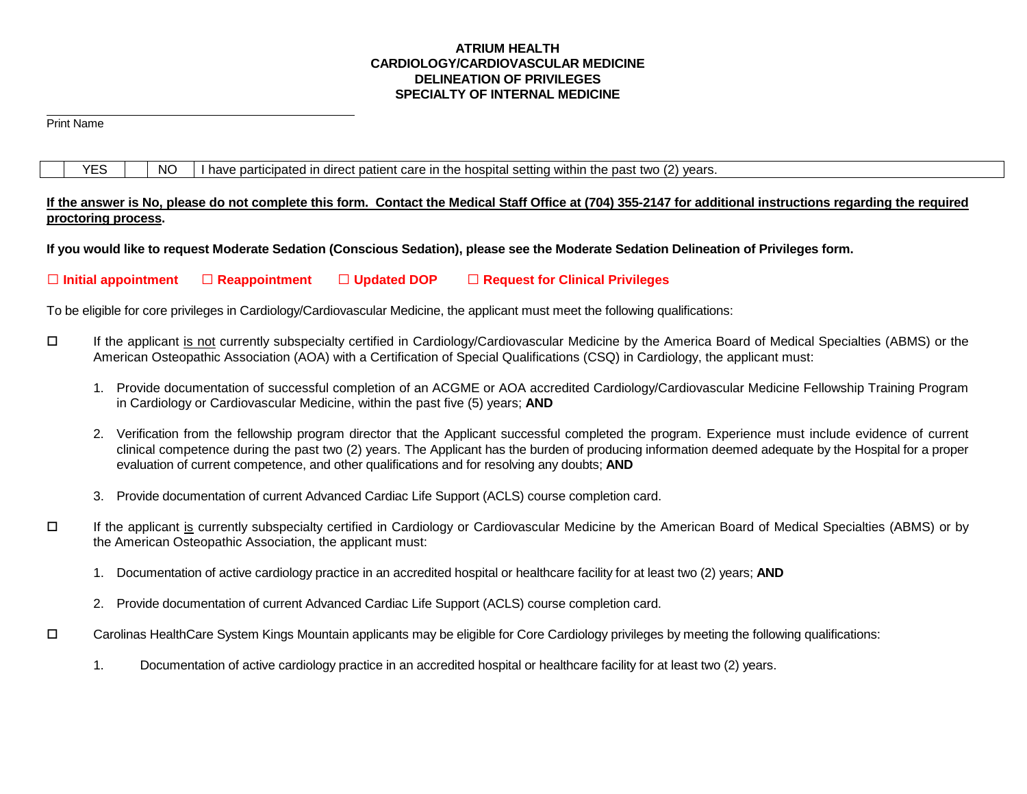# **ATRIUM HEALTH CARDIOLOGY/CARDIOVASCULAR MEDICINE DELINEATION OF PRIVILEGES SPECIALTY OF INTERNAL MEDICINE**

 $\overline{a}$ Print Name

 $YES \mid \text{NO} \mid$  I have participated in direct patient care in the hospital setting within the past two (2) years.

**If the answer is No, please do not complete this form. Contact the Medical Staff Office at (704) 355-2147 for additional instructions regarding the required proctoring process.** 

**If you would like to request Moderate Sedation (Conscious Sedation), please see the Moderate Sedation Delineation of Privileges form.**

**Initial appointment Reappointment Updated DOP Request for Clinical Privileges**

To be eligible for core privileges in Cardiology/Cardiovascular Medicine, the applicant must meet the following qualifications:

- If the applicant is not currently subspecialty certified in Cardiology/Cardiovascular Medicine by the America Board of Medical Specialties (ABMS) or the American Osteopathic Association (AOA) with a Certification of Special Qualifications (CSQ) in Cardiology, the applicant must:
	- 1. Provide documentation of successful completion of an ACGME or AOA accredited Cardiology/Cardiovascular Medicine Fellowship Training Program in Cardiology or Cardiovascular Medicine, within the past five (5) years; **AND**
	- 2. Verification from the fellowship program director that the Applicant successful completed the program. Experience must include evidence of current clinical competence during the past two (2) years. The Applicant has the burden of producing information deemed adequate by the Hospital for a proper evaluation of current competence, and other qualifications and for resolving any doubts; **AND**
	- 3. Provide documentation of current Advanced Cardiac Life Support (ACLS) course completion card.
- If the applicant is currently subspecialty certified in Cardiology or Cardiovascular Medicine by the American Board of Medical Specialties (ABMS) or by the American Osteopathic Association, the applicant must:
	- 1. Documentation of active cardiology practice in an accredited hospital or healthcare facility for at least two (2) years; **AND**
	- 2. Provide documentation of current Advanced Cardiac Life Support (ACLS) course completion card.
- Carolinas HealthCare System Kings Mountain applicants may be eligible for Core Cardiology privileges by meeting the following qualifications:
	- 1. Documentation of active cardiology practice in an accredited hospital or healthcare facility for at least two (2) years.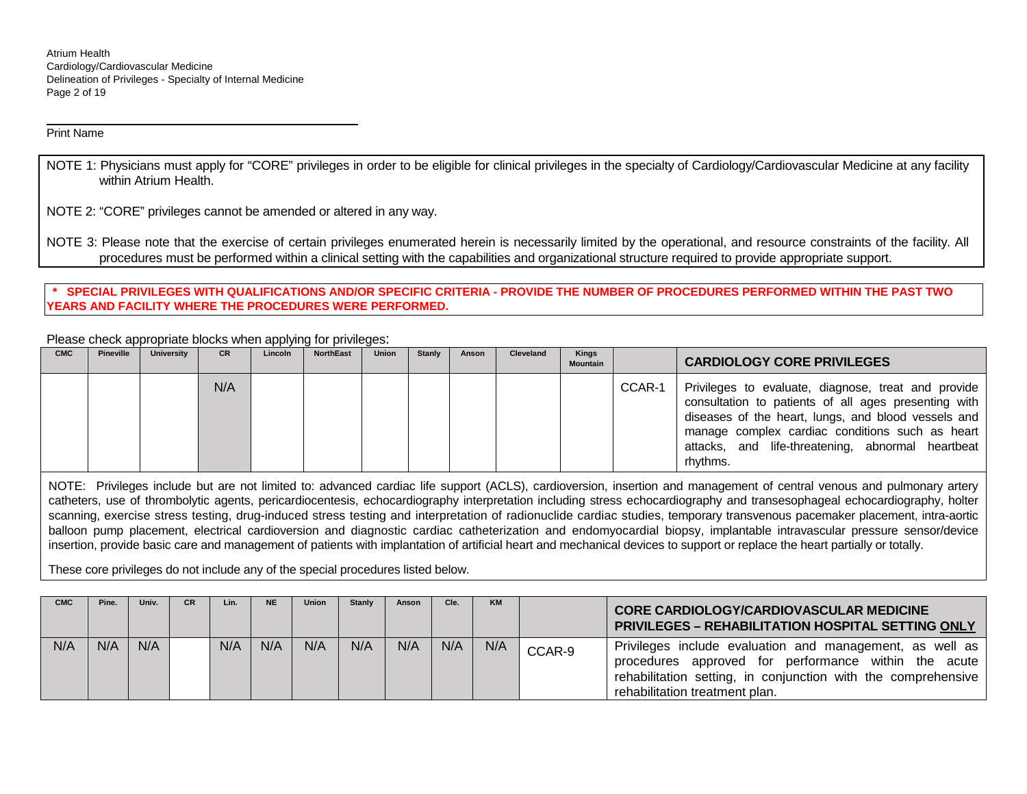Atrium Health Cardiology/Cardiovascular Medicine Delineation of Privileges - Specialty of Internal Medicine Page 2 of 19

Print Name

 $\overline{a}$ 

NOTE 1: Physicians must apply for "CORE" privileges in order to be eligible for clinical privileges in the specialty of Cardiology/Cardiovascular Medicine at any facility within Atrium Health.

NOTE 2: "CORE" privileges cannot be amended or altered in any way.

NOTE 3: Please note that the exercise of certain privileges enumerated herein is necessarily limited by the operational, and resource constraints of the facility. All procedures must be performed within a clinical setting with the capabilities and organizational structure required to provide appropriate support.

**\* SPECIAL PRIVILEGES WITH QUALIFICATIONS AND/OR SPECIFIC CRITERIA - PROVIDE THE NUMBER OF PROCEDURES PERFORMED WITHIN THE PAST TWO YEARS AND FACILITY WHERE THE PROCEDURES WERE PERFORMED.**

Please check appropriate blocks when applying for privileges:

| <b>CMC</b> | <b>Pineville</b> | <b>University</b> | <b>CR</b> | Lincoln | <b>NorthEast</b> | Union | <b>Stanly</b> | Anson | Cleveland | Kings<br>Mountain |        | <b>CARDIOLOGY CORE PRIVILEGES</b>                                                                                                                                                                                                                                                      |
|------------|------------------|-------------------|-----------|---------|------------------|-------|---------------|-------|-----------|-------------------|--------|----------------------------------------------------------------------------------------------------------------------------------------------------------------------------------------------------------------------------------------------------------------------------------------|
|            |                  |                   | N/A       |         |                  |       |               |       |           |                   | CCAR-1 | Privileges to evaluate, diagnose, treat and provide<br>consultation to patients of all ages presenting with<br>diseases of the heart, lungs, and blood vessels and<br>manage complex cardiac conditions such as heart<br>attacks, and life-threatening, abnormal heartbeat<br>rhythms. |

NOTE: Privileges include but are not limited to: advanced cardiac life support (ACLS), cardioversion, insertion and management of central venous and pulmonary artery catheters, use of thrombolytic agents, pericardiocentesis, echocardiography interpretation including stress echocardiography and transesophageal echocardiography, holter scanning, exercise stress testing, drug-induced stress testing and interpretation of radionuclide cardiac studies, temporary transvenous pacemaker placement, intra-aortic balloon pump placement, electrical cardioversion and diagnostic cardiac catheterization and endomyocardial biopsy, implantable intravascular pressure sensor/device insertion, provide basic care and management of patients with implantation of artificial heart and mechanical devices to support or replace the heart partially or totally.

These core privileges do not include any of the special procedures listed below.

| <b>CMC</b> | Pine. | Univ. | <b>CR</b> | Lin. | <b>NE</b> | Union | <b>Stanly</b> | Anson | Cle. | <b>KM</b> |        | <b>CORE CARDIOLOGY/CARDIOVASCULAR MEDICINE</b><br><b>PRIVILEGES - REHABILITATION HOSPITAL SETTING ONLY</b>                                                                                                             |
|------------|-------|-------|-----------|------|-----------|-------|---------------|-------|------|-----------|--------|------------------------------------------------------------------------------------------------------------------------------------------------------------------------------------------------------------------------|
| N/A        | N/A   | N/A   |           | N/A  | N/A       | N/A   | N/A           | N/A   | N/A  | N/A       | CCAR-9 | Privileges include evaluation and management, as well as<br>approved for performance within the acute<br>procedures<br>rehabilitation setting, in conjunction with the comprehensive<br>rehabilitation treatment plan. |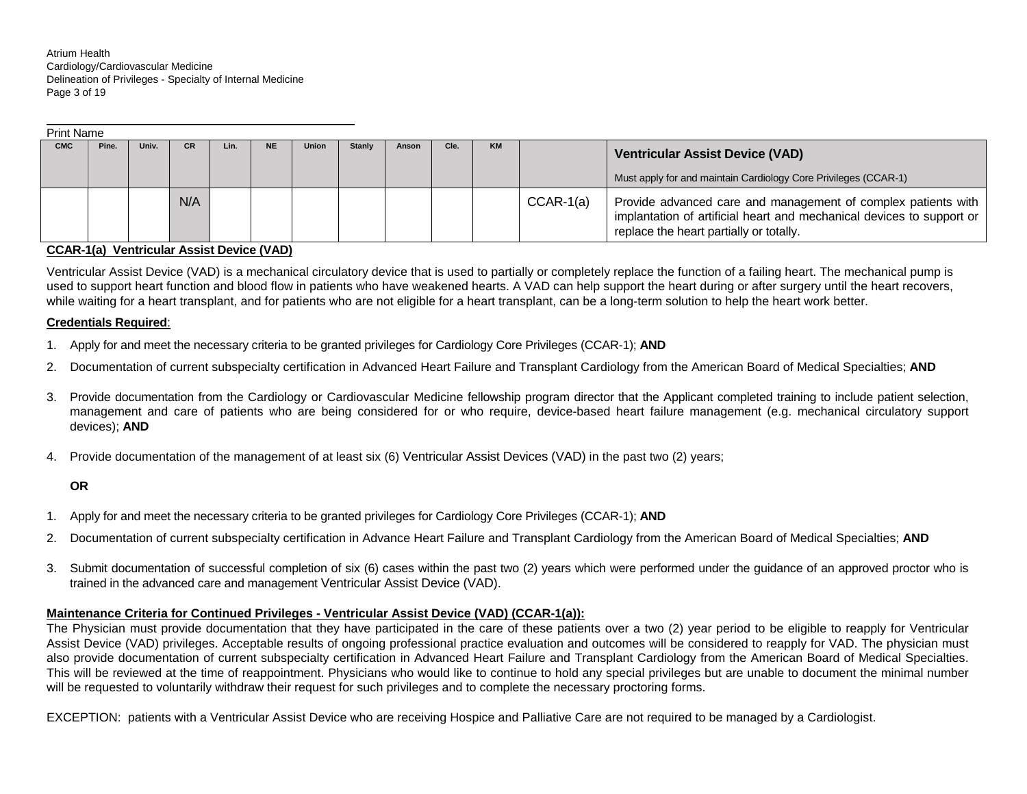Atrium Health Cardiology/Cardiovascular Medicine Delineation of Privileges - Specialty of Internal Medicine Page 3 of 19

|            | <b>Print Name</b> |       |           |      |     |              |               |       |      |           |             |                                                                                                                                                                                   |  |
|------------|-------------------|-------|-----------|------|-----|--------------|---------------|-------|------|-----------|-------------|-----------------------------------------------------------------------------------------------------------------------------------------------------------------------------------|--|
| <b>CMC</b> | Pine.             | Univ. | <b>CR</b> | Lin. | NE. | <b>Union</b> | <b>Stanly</b> | Anson | Cle. | <b>KM</b> |             | <b>Ventricular Assist Device (VAD)</b>                                                                                                                                            |  |
|            |                   |       |           |      |     |              |               |       |      |           |             | Must apply for and maintain Cardiology Core Privileges (CCAR-1)                                                                                                                   |  |
|            |                   |       | N/A       |      |     |              |               |       |      |           | $CCAR-1(a)$ | Provide advanced care and management of complex patients with<br>implantation of artificial heart and mechanical devices to support or<br>replace the heart partially or totally. |  |

#### **CCAR-1(a) Ventricular Assist Device (VAD)**

Ventricular Assist Device (VAD) is a mechanical circulatory device that is used to partially or completely replace the function of a failing heart. The mechanical pump is used to support heart function and blood flow in patients who have weakened hearts. A VAD can help support the heart during or after surgery until the heart recovers, while waiting for a heart transplant, and for patients who are not eligible for a heart transplant, can be a long-term solution to help the heart work better.

#### **Credentials Required**:

 $\overline{a}$ 

- 1. Apply for and meet the necessary criteria to be granted privileges for Cardiology Core Privileges (CCAR-1); **AND**
- 2. Documentation of current subspecialty certification in Advanced Heart Failure and Transplant Cardiology from the American Board of Medical Specialties; **AND**
- 3. Provide documentation from the Cardiology or Cardiovascular Medicine fellowship program director that the Applicant completed training to include patient selection, management and care of patients who are being considered for or who require, device-based heart failure management (e.g. mechanical circulatory support devices); **AND**
- 4. Provide documentation of the management of at least six (6) Ventricular Assist Devices (VAD) in the past two (2) years;

#### **OR**

- 1. Apply for and meet the necessary criteria to be granted privileges for Cardiology Core Privileges (CCAR-1); **AND**
- 2. Documentation of current subspecialty certification in Advance Heart Failure and Transplant Cardiology from the American Board of Medical Specialties; **AND**
- 3. Submit documentation of successful completion of six (6) cases within the past two (2) years which were performed under the guidance of an approved proctor who is trained in the advanced care and management Ventricular Assist Device (VAD).

#### **Maintenance Criteria for Continued Privileges - Ventricular Assist Device (VAD) (CCAR-1(a)):**

The Physician must provide documentation that they have participated in the care of these patients over a two (2) year period to be eligible to reapply for Ventricular Assist Device (VAD) privileges. Acceptable results of ongoing professional practice evaluation and outcomes will be considered to reapply for VAD. The physician must also provide documentation of current subspecialty certification in Advanced Heart Failure and Transplant Cardiology from the American Board of Medical Specialties. This will be reviewed at the time of reappointment. Physicians who would like to continue to hold any special privileges but are unable to document the minimal number will be requested to voluntarily withdraw their request for such privileges and to complete the necessary proctoring forms.

EXCEPTION: patients with a Ventricular Assist Device who are receiving Hospice and Palliative Care are not required to be managed by a Cardiologist.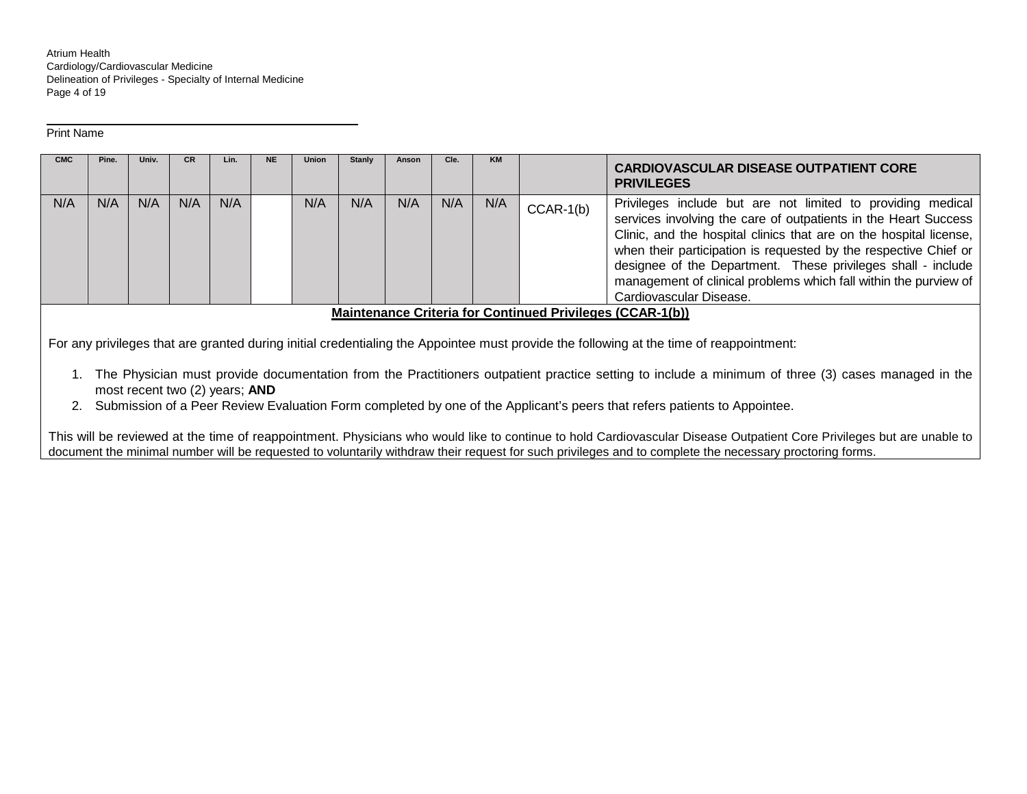Atrium Health Cardiology/Cardiovascular Medicine Delineation of Privileges - Specialty of Internal Medicine Page 4 of 19

#### Print Name

 $\overline{a}$ 

| <b>CMC</b> | Pine. | Univ. | <b>CR</b> | Lin. | <b>NE</b> | <b>Union</b> | Stanly | Anson | Cle. | <b>KM</b> |             | <b>CARDIOVASCULAR DISEASE OUTPATIENT CORE</b><br><b>PRIVILEGES</b>                                                                                                                                                                                                                                                                                                                                                                      |  |
|------------|-------|-------|-----------|------|-----------|--------------|--------|-------|------|-----------|-------------|-----------------------------------------------------------------------------------------------------------------------------------------------------------------------------------------------------------------------------------------------------------------------------------------------------------------------------------------------------------------------------------------------------------------------------------------|--|
| N/A        | N/A   | N/A   | N/A       | N/A  |           | N/A          | N/A    | N/A   | N/A  | N/A       | $CCAR-1(b)$ | Privileges include but are not limited to providing medical<br>services involving the care of outpatients in the Heart Success<br>Clinic, and the hospital clinics that are on the hospital license,<br>when their participation is requested by the respective Chief or<br>designee of the Department. These privileges shall - include<br>management of clinical problems which fall within the purview of<br>Cardiovascular Disease. |  |
|            |       |       |           |      |           |              |        |       |      |           |             | <b>Maintenance Criteria for Continued Privileges (CCAR-1(b))</b>                                                                                                                                                                                                                                                                                                                                                                        |  |

For any privileges that are granted during initial credentialing the Appointee must provide the following at the time of reappointment:

- 1. The Physician must provide documentation from the Practitioners outpatient practice setting to include a minimum of three (3) cases managed in the most recent two (2) years; **AND**
- 2. Submission of a Peer Review Evaluation Form completed by one of the Applicant's peers that refers patients to Appointee.

This will be reviewed at the time of reappointment. Physicians who would like to continue to hold Cardiovascular Disease Outpatient Core Privileges but are unable to document the minimal number will be requested to voluntarily withdraw their request for such privileges and to complete the necessary proctoring forms.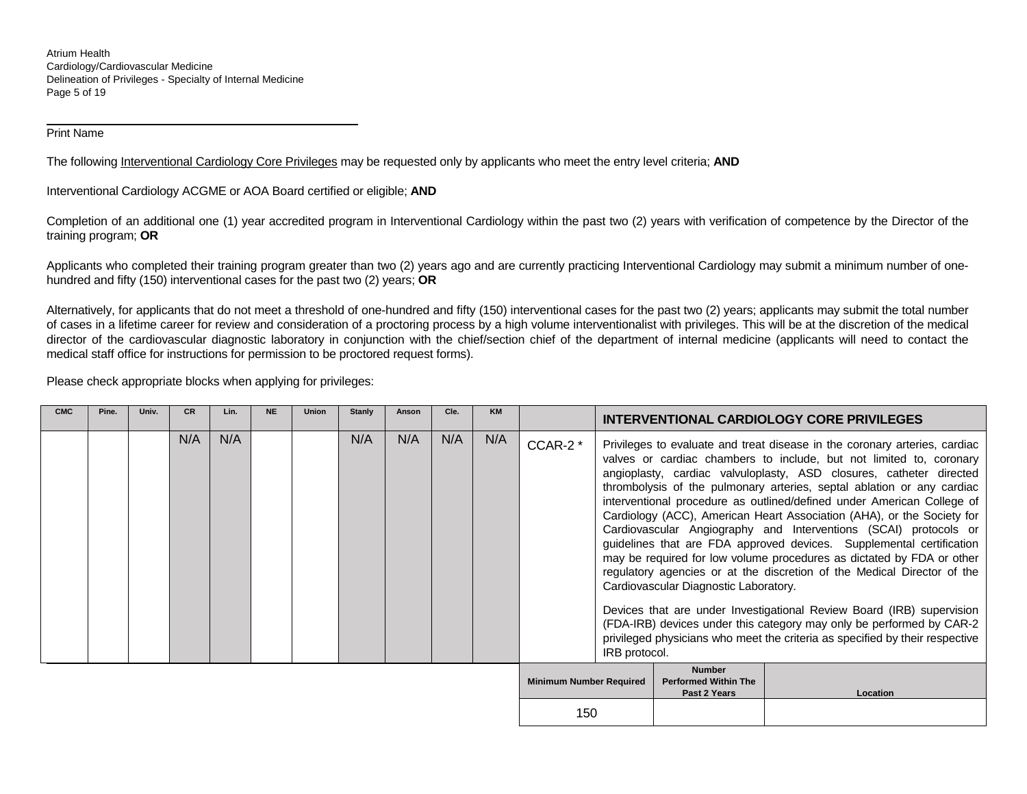Atrium Health Cardiology/Cardiovascular Medicine Delineation of Privileges - Specialty of Internal Medicine Page 5 of 19

Print Name

 $\overline{a}$ 

The following Interventional Cardiology Core Privileges may be requested only by applicants who meet the entry level criteria; **AND**

Interventional Cardiology ACGME or AOA Board certified or eligible; **AND**

Completion of an additional one (1) year accredited program in Interventional Cardiology within the past two (2) years with verification of competence by the Director of the training program; **OR**

Applicants who completed their training program greater than two (2) years ago and are currently practicing Interventional Cardiology may submit a minimum number of onehundred and fifty (150) interventional cases for the past two (2) years; **OR**

Alternatively, for applicants that do not meet a threshold of one-hundred and fifty (150) interventional cases for the past two (2) years; applicants may submit the total number of cases in a lifetime career for review and consideration of a proctoring process by a high volume interventionalist with privileges. This will be at the discretion of the medical director of the cardiovascular diagnostic laboratory in conjunction with the chief/section chief of the department of internal medicine (applicants will need to contact the medical staff office for instructions for permission to be proctored request forms).

Please check appropriate blocks when applying for privileges:

| <b>CMC</b> | Pine. | Univ. | <b>CR</b> | Lin. | <b>NE</b> | <b>Union</b> | <b>Stanly</b> | Anson | Cle. | <b>KM</b> |                                |               |                                                              | <b>INTERVENTIONAL CARDIOLOGY CORE PRIVILEGES</b>                                                                                                                                                                                                                                                                                                                                                                                                                                                                                                                                                                                                                                                                                                                                                                                                                                                                                                                                        |
|------------|-------|-------|-----------|------|-----------|--------------|---------------|-------|------|-----------|--------------------------------|---------------|--------------------------------------------------------------|-----------------------------------------------------------------------------------------------------------------------------------------------------------------------------------------------------------------------------------------------------------------------------------------------------------------------------------------------------------------------------------------------------------------------------------------------------------------------------------------------------------------------------------------------------------------------------------------------------------------------------------------------------------------------------------------------------------------------------------------------------------------------------------------------------------------------------------------------------------------------------------------------------------------------------------------------------------------------------------------|
|            |       |       | N/A       | N/A  |           |              | N/A           | N/A   | N/A  | N/A       | CCAR-2 <sup>*</sup>            | IRB protocol. | Cardiovascular Diagnostic Laboratory.                        | Privileges to evaluate and treat disease in the coronary arteries, cardiac<br>valves or cardiac chambers to include, but not limited to, coronary<br>angioplasty, cardiac valvuloplasty, ASD closures, catheter directed<br>thrombolysis of the pulmonary arteries, septal ablation or any cardiac<br>interventional procedure as outlined/defined under American College of<br>Cardiology (ACC), American Heart Association (AHA), or the Society for<br>Cardiovascular Angiography and Interventions (SCAI) protocols or<br>guidelines that are FDA approved devices. Supplemental certification<br>may be required for low volume procedures as dictated by FDA or other<br>regulatory agencies or at the discretion of the Medical Director of the<br>Devices that are under Investigational Review Board (IRB) supervision<br>(FDA-IRB) devices under this category may only be performed by CAR-2<br>privileged physicians who meet the criteria as specified by their respective |
|            |       |       |           |      |           |              |               |       |      |           | <b>Minimum Number Required</b> |               | <b>Number</b><br><b>Performed Within The</b><br>Past 2 Years | Location                                                                                                                                                                                                                                                                                                                                                                                                                                                                                                                                                                                                                                                                                                                                                                                                                                                                                                                                                                                |
|            |       |       |           |      |           |              |               |       |      |           |                                | 150           |                                                              |                                                                                                                                                                                                                                                                                                                                                                                                                                                                                                                                                                                                                                                                                                                                                                                                                                                                                                                                                                                         |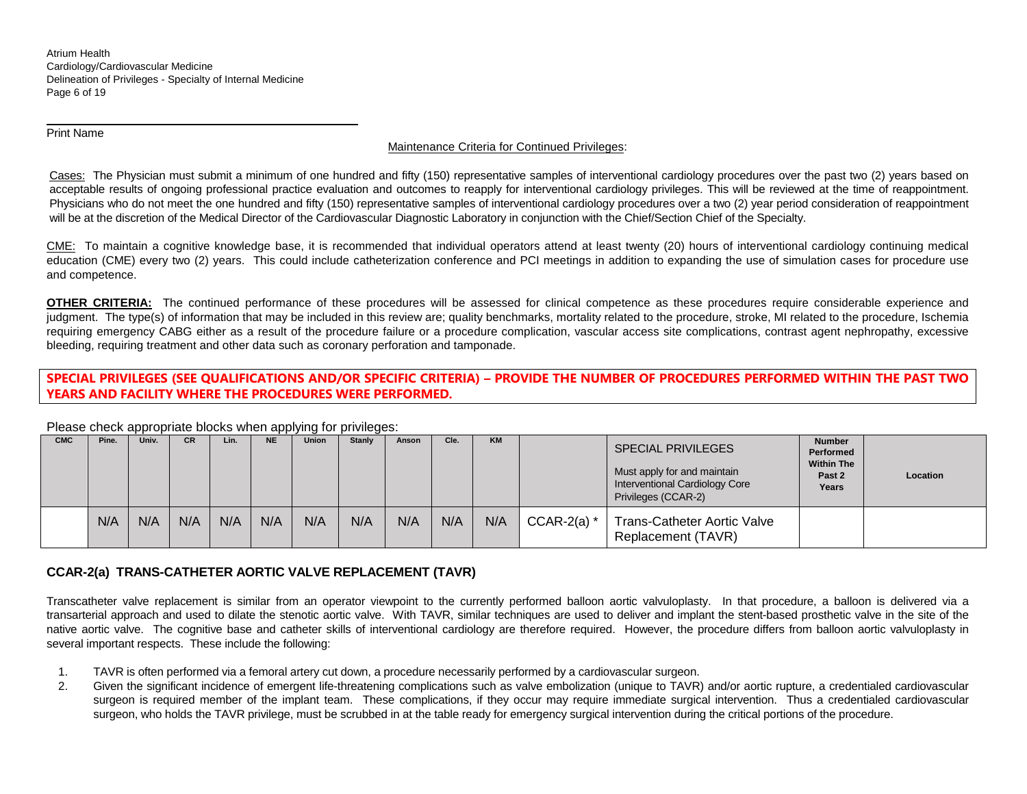Atrium Health Cardiology/Cardiovascular Medicine Delineation of Privileges - Specialty of Internal Medicine Page 6 of 19

Print Name

 $\overline{a}$ 

## Maintenance Criteria for Continued Privileges:

Cases: The Physician must submit a minimum of one hundred and fifty (150) representative samples of interventional cardiology procedures over the past two (2) years based on acceptable results of ongoing professional practice evaluation and outcomes to reapply for interventional cardiology privileges. This will be reviewed at the time of reappointment. Physicians who do not meet the one hundred and fifty (150) representative samples of interventional cardiology procedures over a two (2) year period consideration of reappointment will be at the discretion of the Medical Director of the Cardiovascular Diagnostic Laboratory in conjunction with the Chief/Section Chief of the Specialty.

CME: To maintain a cognitive knowledge base, it is recommended that individual operators attend at least twenty (20) hours of interventional cardiology continuing medical education (CME) every two (2) years. This could include catheterization conference and PCI meetings in addition to expanding the use of simulation cases for procedure use and competence.

**OTHER CRITERIA:** The continued performance of these procedures will be assessed for clinical competence as these procedures require considerable experience and judgment. The type(s) of information that may be included in this review are; quality benchmarks, mortality related to the procedure, stroke, MI related to the procedure, Ischemia requiring emergency CABG either as a result of the procedure failure or a procedure complication, vascular access site complications, contrast agent nephropathy, excessive bleeding, requiring treatment and other data such as coronary perforation and tamponade.

# **SPECIAL PRIVILEGES (SEE QUALIFICATIONS AND/OR SPECIFIC CRITERIA) – PROVIDE THE NUMBER OF PROCEDURES PERFORMED WITHIN THE PAST TWO YEARS AND FACILITY WHERE THE PROCEDURES WERE PERFORMED.**

#### Please check appropriate blocks when applying for privileges:<br>
cMC | Pine, | Univ, | CR | Lin, | NE | Union | Stanly | Anson **CMC Pine. Univ. CR Lin. NE Union Stanly Anson Cle. KM** SPECIAL PRIVILEGES Must apply for and maintain Interventional Cardiology Core Privileges (CCAR-2) **Number Performed Within The Past 2 Years Location** N/A N/A N/A N/A N/A N/A N/A N/A N/A N/A CCAR-2(a) \* Trans-Catheter Aortic Valve Replacement (TAVR)

# **CCAR-2(a) TRANS-CATHETER AORTIC VALVE REPLACEMENT (TAVR)**

Transcatheter valve replacement is similar from an operator viewpoint to the currently performed balloon aortic valvuloplasty. In that procedure, a balloon is delivered via a transarterial approach and used to dilate the stenotic aortic valve. With TAVR, similar techniques are used to deliver and implant the stent-based prosthetic valve in the site of the native aortic valve. The cognitive base and catheter skills of interventional cardiology are therefore required. However, the procedure differs from balloon aortic valvuloplasty in several important respects. These include the following:

- 1. TAVR is often performed via a femoral artery cut down, a procedure necessarily performed by a cardiovascular surgeon.
- 2. Given the significant incidence of emergent life-threatening complications such as valve embolization (unique to TAVR) and/or aortic rupture, a credentialed cardiovascular surgeon is required member of the implant team. These complications, if they occur may require immediate surgical intervention. Thus a credentialed cardiovascular surgeon, who holds the TAVR privilege, must be scrubbed in at the table ready for emergency surgical intervention during the critical portions of the procedure.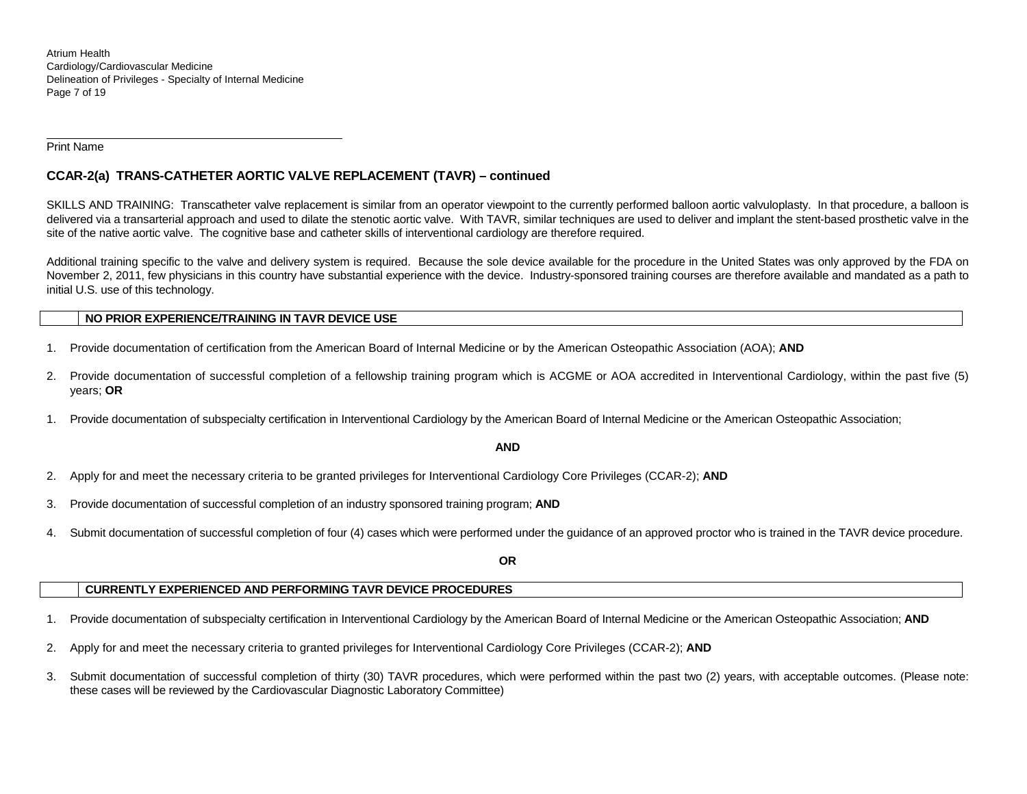Atrium Health Cardiology/Cardiovascular Medicine Delineation of Privileges - Specialty of Internal Medicine Page 7 of 19

Print Name

 $\overline{a}$ 

# **CCAR-2(a) TRANS-CATHETER AORTIC VALVE REPLACEMENT (TAVR) – continued**

SKILLS AND TRAINING: Transcatheter valve replacement is similar from an operator viewpoint to the currently performed balloon aortic valvuloplasty. In that procedure, a balloon is delivered via a transarterial approach and used to dilate the stenotic aortic valve. With TAVR, similar techniques are used to deliver and implant the stent-based prosthetic valve in the site of the native aortic valve. The cognitive base and catheter skills of interventional cardiology are therefore required.

Additional training specific to the valve and delivery system is required. Because the sole device available for the procedure in the United States was only approved by the FDA on November 2, 2011, few physicians in this country have substantial experience with the device. Industry-sponsored training courses are therefore available and mandated as a path to initial U.S. use of this technology.

#### **NO PRIOR EXPERIENCE/TRAINING IN TAVR DEVICE USE**

- 1. Provide documentation of certification from the American Board of Internal Medicine or by the American Osteopathic Association (AOA); **AND**
- 2. Provide documentation of successful completion of a fellowship training program which is ACGME or AOA accredited in Interventional Cardiology, within the past five (5) years; **OR**
- 1. Provide documentation of subspecialty certification in Interventional Cardiology by the American Board of Internal Medicine or the American Osteopathic Association;

#### **AND**

- 2. Apply for and meet the necessary criteria to be granted privileges for Interventional Cardiology Core Privileges (CCAR-2); **AND**
- 3. Provide documentation of successful completion of an industry sponsored training program; **AND**
- 4. Submit documentation of successful completion of four (4) cases which were performed under the guidance of an approved proctor who is trained in the TAVR device procedure.

**OR**

# **CURRENTLY EXPERIENCED AND PERFORMING TAVR DEVICE PROCEDURES**

- 1. Provide documentation of subspecialty certification in Interventional Cardiology by the American Board of Internal Medicine or the American Osteopathic Association; **AND**
- 2. Apply for and meet the necessary criteria to granted privileges for Interventional Cardiology Core Privileges (CCAR-2); **AND**
- 3. Submit documentation of successful completion of thirty (30) TAVR procedures, which were performed within the past two (2) years, with acceptable outcomes. (Please note: these cases will be reviewed by the Cardiovascular Diagnostic Laboratory Committee)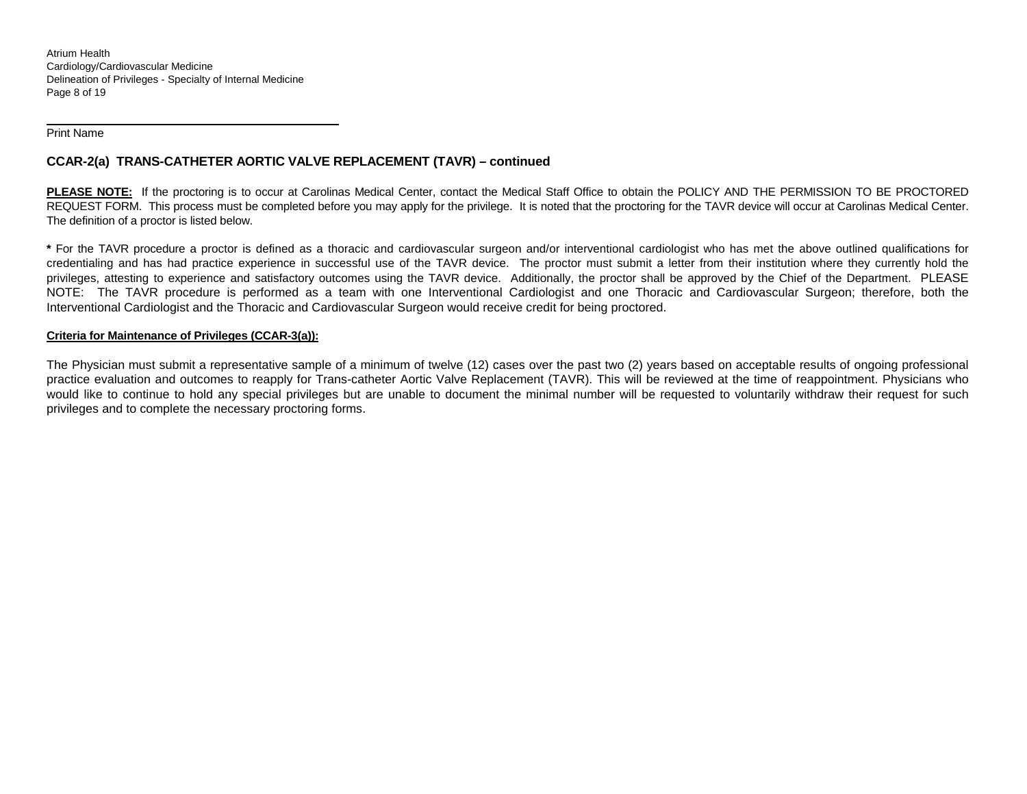Atrium Health Cardiology/Cardiovascular Medicine Delineation of Privileges - Specialty of Internal Medicine Page 8 of 19

Print Name

 $\overline{a}$ 

# **CCAR-2(a) TRANS-CATHETER AORTIC VALVE REPLACEMENT (TAVR) – continued**

**PLEASE NOTE:** If the proctoring is to occur at Carolinas Medical Center, contact the Medical Staff Office to obtain the POLICY AND THE PERMISSION TO BE PROCTORED REQUEST FORM. This process must be completed before you may apply for the privilege. It is noted that the proctoring for the TAVR device will occur at Carolinas Medical Center. The definition of a proctor is listed below.

**\*** For the TAVR procedure a proctor is defined as a thoracic and cardiovascular surgeon and/or interventional cardiologist who has met the above outlined qualifications for credentialing and has had practice experience in successful use of the TAVR device. The proctor must submit a letter from their institution where they currently hold the privileges, attesting to experience and satisfactory outcomes using the TAVR device. Additionally, the proctor shall be approved by the Chief of the Department. PLEASE NOTE: The TAVR procedure is performed as a team with one Interventional Cardiologist and one Thoracic and Cardiovascular Surgeon; therefore, both the Interventional Cardiologist and the Thoracic and Cardiovascular Surgeon would receive credit for being proctored.

#### **Criteria for Maintenance of Privileges (CCAR-3(a)):**

The Physician must submit a representative sample of a minimum of twelve (12) cases over the past two (2) years based on acceptable results of ongoing professional practice evaluation and outcomes to reapply for Trans-catheter Aortic Valve Replacement (TAVR). This will be reviewed at the time of reappointment. Physicians who would like to continue to hold any special privileges but are unable to document the minimal number will be requested to voluntarily withdraw their request for such privileges and to complete the necessary proctoring forms.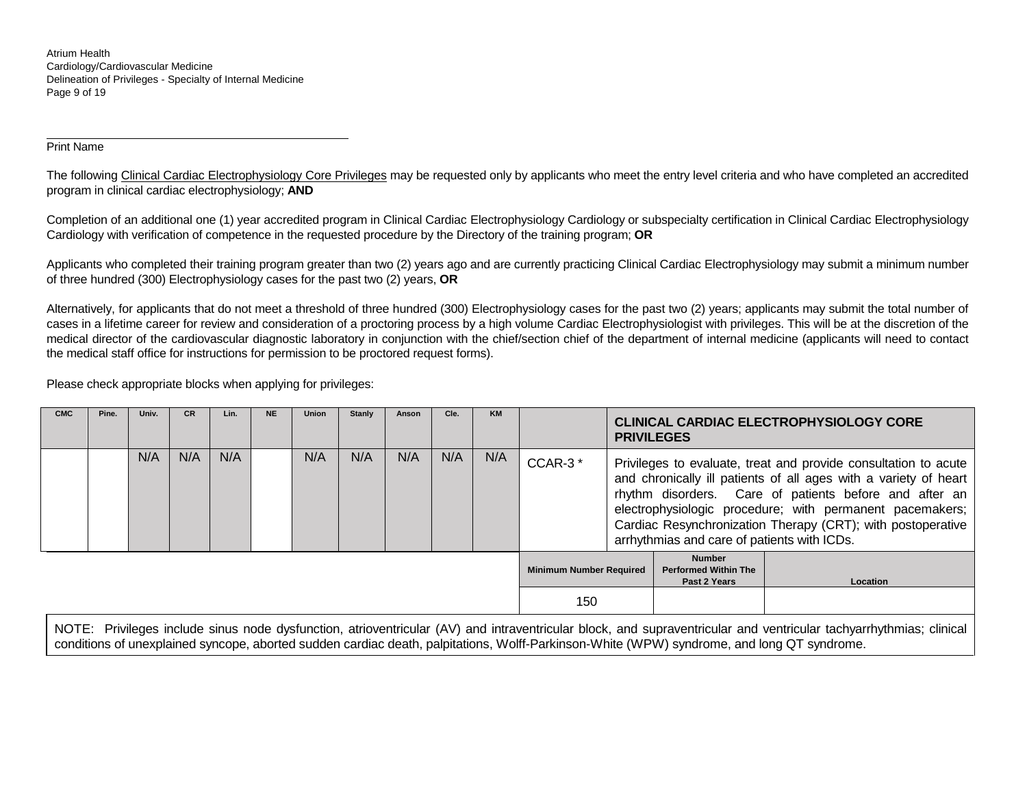Atrium Health Cardiology/Cardiovascular Medicine Delineation of Privileges - Specialty of Internal Medicine Page 9 of 19

Print Name

 $\overline{a}$ 

The following Clinical Cardiac Electrophysiology Core Privileges may be requested only by applicants who meet the entry level criteria and who have completed an accredited program in clinical cardiac electrophysiology; **AND**

Completion of an additional one (1) year accredited program in Clinical Cardiac Electrophysiology Cardiology or subspecialty certification in Clinical Cardiac Electrophysiology Cardiology with verification of competence in the requested procedure by the Directory of the training program; **OR**

Applicants who completed their training program greater than two (2) years ago and are currently practicing Clinical Cardiac Electrophysiology may submit a minimum number of three hundred (300) Electrophysiology cases for the past two (2) years, **OR**

Alternatively, for applicants that do not meet a threshold of three hundred (300) Electrophysiology cases for the past two (2) years; applicants may submit the total number of cases in a lifetime career for review and consideration of a proctoring process by a high volume Cardiac Electrophysiologist with privileges. This will be at the discretion of the medical director of the cardiovascular diagnostic laboratory in conjunction with the chief/section chief of the department of internal medicine (applicants will need to contact the medical staff office for instructions for permission to be proctored request forms).

Please check appropriate blocks when applying for privileges:

| <b>CMC</b> | Pine. | Univ. | <b>CR</b> | Lin. | <b>NE</b> | <b>Union</b> | Stanly | Anson | Cle. | KM  |                                |                                                                                                                                                                                                                                                                                                                                                                         | <b>PRIVILEGES</b>                                            | <b>CLINICAL CARDIAC ELECTROPHYSIOLOGY CORE</b> |
|------------|-------|-------|-----------|------|-----------|--------------|--------|-------|------|-----|--------------------------------|-------------------------------------------------------------------------------------------------------------------------------------------------------------------------------------------------------------------------------------------------------------------------------------------------------------------------------------------------------------------------|--------------------------------------------------------------|------------------------------------------------|
|            |       | N/A   | N/A       | N/A  |           | N/A          | N/A    | N/A   | N/A  | N/A | CCAR-3*                        | Privileges to evaluate, treat and provide consultation to acute<br>and chronically ill patients of all ages with a variety of heart<br>rhythm disorders. Care of patients before and after an<br>electrophysiologic procedure; with permanent pacemakers;<br>Cardiac Resynchronization Therapy (CRT); with postoperative<br>arrhythmias and care of patients with ICDs. |                                                              |                                                |
|            |       |       |           |      |           |              |        |       |      |     | <b>Minimum Number Required</b> |                                                                                                                                                                                                                                                                                                                                                                         | <b>Number</b><br><b>Performed Within The</b><br>Past 2 Years | <b>Location</b>                                |
|            |       |       |           |      |           |              |        |       |      |     | 150                            |                                                                                                                                                                                                                                                                                                                                                                         |                                                              |                                                |

NOTE: Privileges include sinus node dysfunction, atrioventricular (AV) and intraventricular block, and supraventricular and ventricular tachyarrhythmias; clinical conditions of unexplained syncope, aborted sudden cardiac death, palpitations, Wolff-Parkinson-White (WPW) syndrome, and long QT syndrome.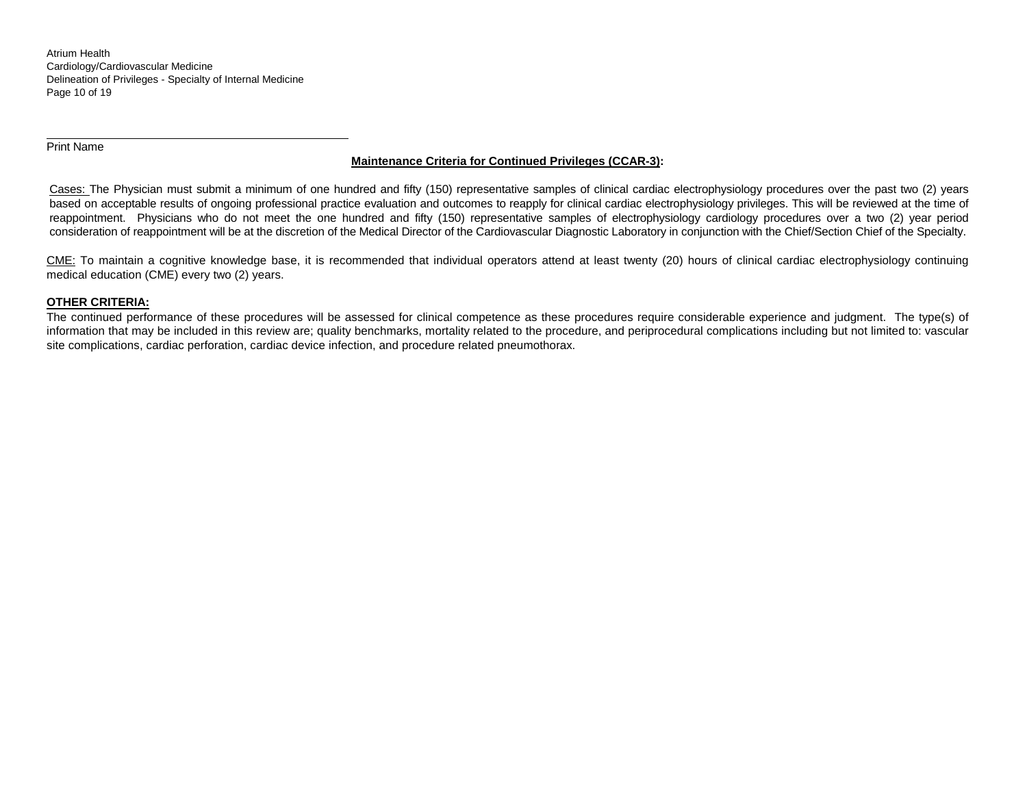Atrium Health Cardiology/Cardiovascular Medicine Delineation of Privileges - Specialty of Internal Medicine Page 10 of 19

Print Name

 $\overline{a}$ 

# **Maintenance Criteria for Continued Privileges (CCAR-3):**

Cases: The Physician must submit a minimum of one hundred and fifty (150) representative samples of clinical cardiac electrophysiology procedures over the past two (2) years based on acceptable results of ongoing professional practice evaluation and outcomes to reapply for clinical cardiac electrophysiology privileges. This will be reviewed at the time of reappointment. Physicians who do not meet the one hundred and fifty (150) representative samples of electrophysiology cardiology procedures over a two (2) year period consideration of reappointment will be at the discretion of the Medical Director of the Cardiovascular Diagnostic Laboratory in conjunction with the Chief/Section Chief of the Specialty.

CME: To maintain a cognitive knowledge base, it is recommended that individual operators attend at least twenty (20) hours of clinical cardiac electrophysiology continuing medical education (CME) every two (2) years.

#### **OTHER CRITERIA:**

The continued performance of these procedures will be assessed for clinical competence as these procedures require considerable experience and judgment. The type(s) of information that may be included in this review are; quality benchmarks, mortality related to the procedure, and periprocedural complications including but not limited to: vascular site complications, cardiac perforation, cardiac device infection, and procedure related pneumothorax.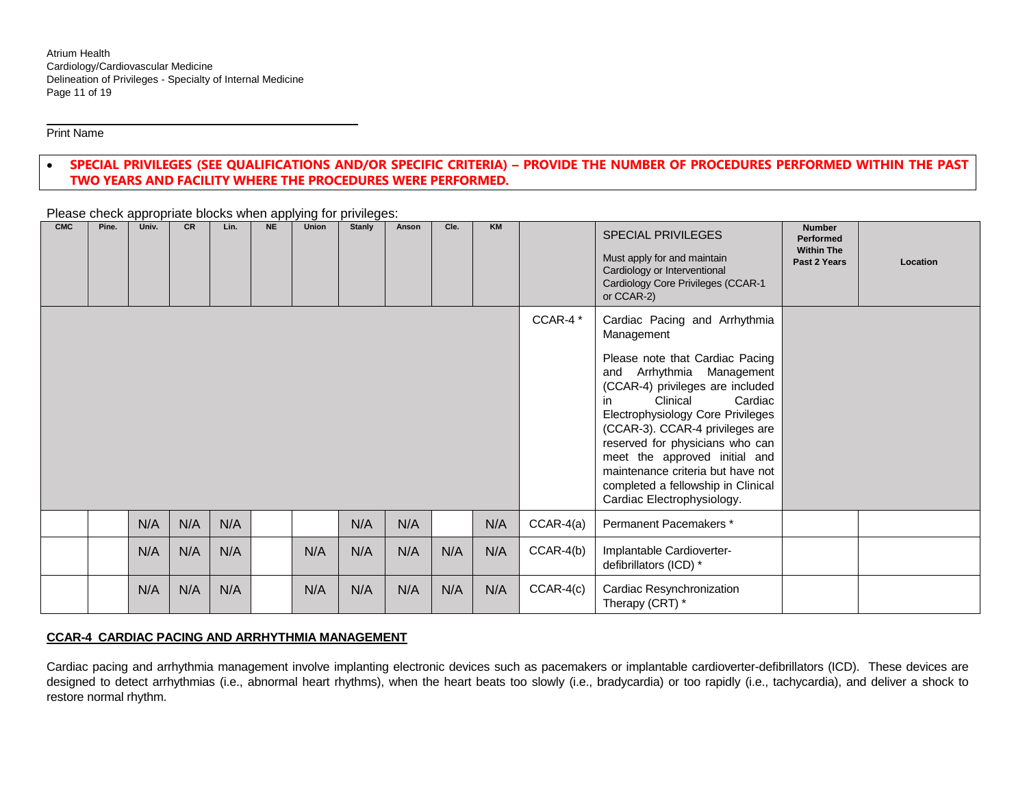Print Name

 $\overline{a}$ 

# • **SPECIAL PRIVILEGES (SEE QUALIFICATIONS AND/OR SPECIFIC CRITERIA) – PROVIDE THE NUMBER OF PROCEDURES PERFORMED WITHIN THE PAST TWO YEARS AND FACILITY WHERE THE PROCEDURES WERE PERFORMED.**

| <b>CMC</b> | Pine. | Univ. | <b>CR</b> | Lin. | <b>NE</b> | Union | Stanly | Anson | Cle. | <b>KM</b> |             | <b>SPECIAL PRIVILEGES</b><br>Must apply for and maintain<br>Cardiology or Interventional<br>Cardiology Core Privileges (CCAR-1<br>or CCAR-2)                                                                                                                                                                                                                                                                                      | <b>Number</b><br><b>Performed</b><br><b>Within The</b><br>Past 2 Years | Location |
|------------|-------|-------|-----------|------|-----------|-------|--------|-------|------|-----------|-------------|-----------------------------------------------------------------------------------------------------------------------------------------------------------------------------------------------------------------------------------------------------------------------------------------------------------------------------------------------------------------------------------------------------------------------------------|------------------------------------------------------------------------|----------|
|            |       |       |           |      |           |       |        |       |      |           | CCAR-4*     | Cardiac Pacing and Arrhythmia<br>Management<br>Please note that Cardiac Pacing<br>and Arrhythmia Management<br>(CCAR-4) privileges are included<br>Clinical<br>Cardiac<br>in<br>Electrophysiology Core Privileges<br>(CCAR-3). CCAR-4 privileges are<br>reserved for physicians who can<br>meet the approved initial and<br>maintenance criteria but have not<br>completed a fellowship in Clinical<br>Cardiac Electrophysiology. |                                                                        |          |
|            |       | N/A   | N/A       | N/A  |           |       | N/A    | N/A   |      | N/A       | $CCAR-4(a)$ | Permanent Pacemakers*                                                                                                                                                                                                                                                                                                                                                                                                             |                                                                        |          |
|            |       | N/A   | N/A       | N/A  |           | N/A   | N/A    | N/A   | N/A  | N/A       | $CCAR-4(b)$ | Implantable Cardioverter-<br>defibrillators (ICD) *                                                                                                                                                                                                                                                                                                                                                                               |                                                                        |          |
|            |       | N/A   | N/A       | N/A  |           | N/A   | N/A    | N/A   | N/A  | N/A       | $CCAR-4(c)$ | Cardiac Resynchronization<br>Therapy (CRT) *                                                                                                                                                                                                                                                                                                                                                                                      |                                                                        |          |

Please check appropriate blocks when applying for privileges:

#### **CCAR-4 CARDIAC PACING AND ARRHYTHMIA MANAGEMENT**

Cardiac pacing and arrhythmia management involve implanting electronic devices such as pacemakers or implantable cardioverter-defibrillators (ICD). These devices are designed to detect arrhythmias (i.e., abnormal heart rhythms), when the heart beats too slowly (i.e., bradycardia) or too rapidly (i.e., tachycardia), and deliver a shock to restore normal rhythm.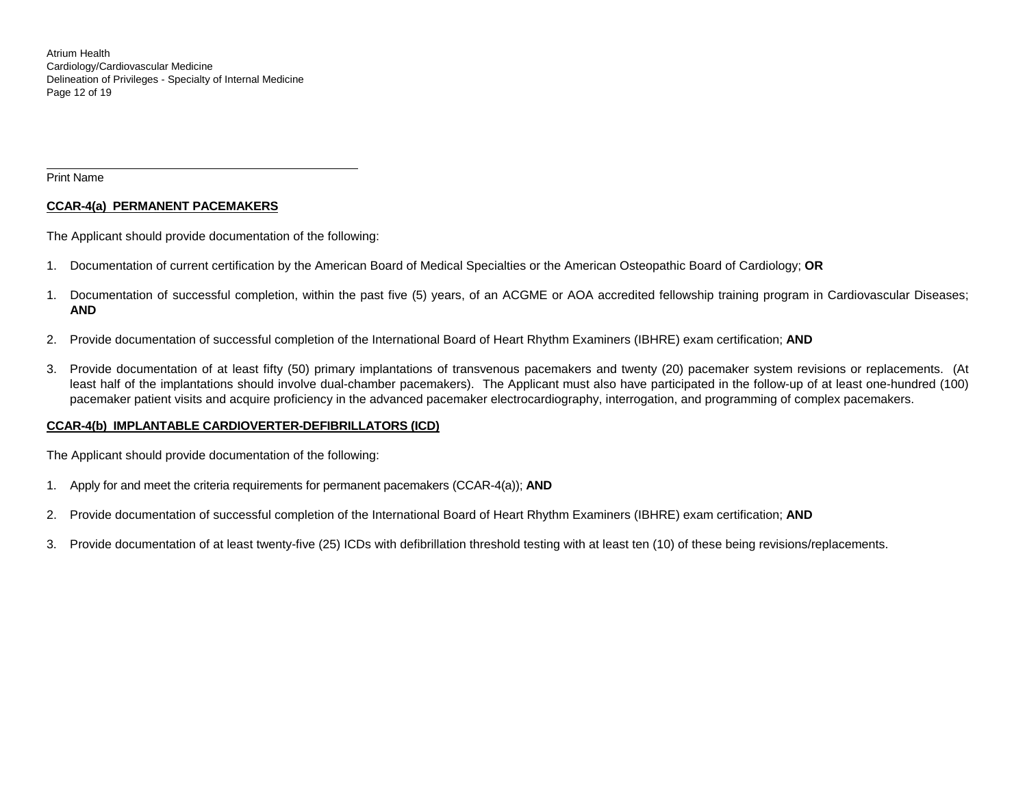Atrium Health Cardiology/Cardiovascular Medicine Delineation of Privileges - Specialty of Internal Medicine Page 12 of 19

Print Name

 $\overline{a}$ 

## **CCAR-4(a) PERMANENT PACEMAKERS**

The Applicant should provide documentation of the following:

- 1. Documentation of current certification by the American Board of Medical Specialties or the American Osteopathic Board of Cardiology; **OR**
- 1. Documentation of successful completion, within the past five (5) years, of an ACGME or AOA accredited fellowship training program in Cardiovascular Diseases; **AND**
- 2. Provide documentation of successful completion of the International Board of Heart Rhythm Examiners (IBHRE) exam certification; **AND**
- 3. Provide documentation of at least fifty (50) primary implantations of transvenous pacemakers and twenty (20) pacemaker system revisions or replacements. (At least half of the implantations should involve dual-chamber pacemakers). The Applicant must also have participated in the follow-up of at least one-hundred (100) pacemaker patient visits and acquire proficiency in the advanced pacemaker electrocardiography, interrogation, and programming of complex pacemakers.

# **CCAR-4(b) IMPLANTABLE CARDIOVERTER-DEFIBRILLATORS (ICD)**

The Applicant should provide documentation of the following:

- 1. Apply for and meet the criteria requirements for permanent pacemakers (CCAR-4(a)); **AND**
- 2. Provide documentation of successful completion of the International Board of Heart Rhythm Examiners (IBHRE) exam certification; **AND**
- 3. Provide documentation of at least twenty-five (25) ICDs with defibrillation threshold testing with at least ten (10) of these being revisions/replacements.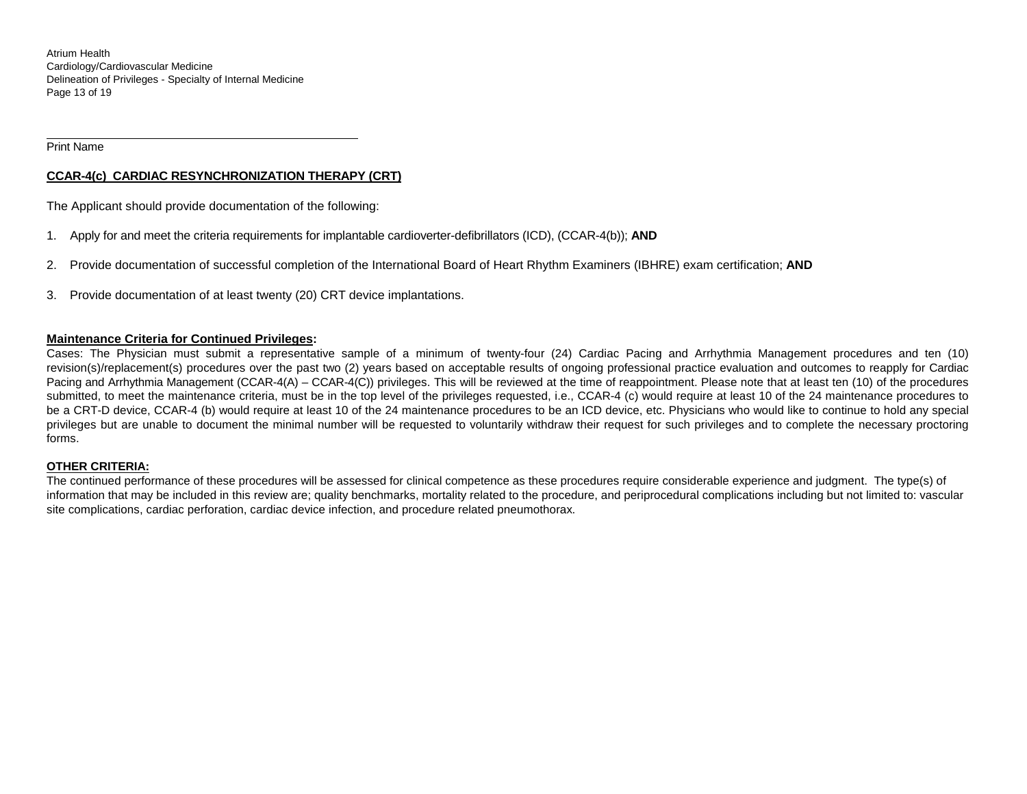Atrium Health Cardiology/Cardiovascular Medicine Delineation of Privileges - Specialty of Internal Medicine Page 13 of 19

Print Name

 $\overline{a}$ 

# **CCAR-4(c) CARDIAC RESYNCHRONIZATION THERAPY (CRT)**

The Applicant should provide documentation of the following:

- 1. Apply for and meet the criteria requirements for implantable cardioverter-defibrillators (ICD), (CCAR-4(b)); **AND**
- 2. Provide documentation of successful completion of the International Board of Heart Rhythm Examiners (IBHRE) exam certification; **AND**
- 3. Provide documentation of at least twenty (20) CRT device implantations.

## **Maintenance Criteria for Continued Privileges:**

Cases: The Physician must submit a representative sample of a minimum of twenty-four (24) Cardiac Pacing and Arrhythmia Management procedures and ten (10) revision(s)/replacement(s) procedures over the past two (2) years based on acceptable results of ongoing professional practice evaluation and outcomes to reapply for Cardiac Pacing and Arrhythmia Management (CCAR-4(A) – CCAR-4(C)) privileges. This will be reviewed at the time of reappointment. Please note that at least ten (10) of the procedures submitted, to meet the maintenance criteria, must be in the top level of the privileges requested, i.e., CCAR-4 (c) would require at least 10 of the 24 maintenance procedures to be a CRT-D device, CCAR-4 (b) would require at least 10 of the 24 maintenance procedures to be an ICD device, etc. Physicians who would like to continue to hold any special privileges but are unable to document the minimal number will be requested to voluntarily withdraw their request for such privileges and to complete the necessary proctoring forms.

#### **OTHER CRITERIA:**

The continued performance of these procedures will be assessed for clinical competence as these procedures require considerable experience and judgment. The type(s) of information that may be included in this review are; quality benchmarks, mortality related to the procedure, and periprocedural complications including but not limited to: vascular site complications, cardiac perforation, cardiac device infection, and procedure related pneumothorax.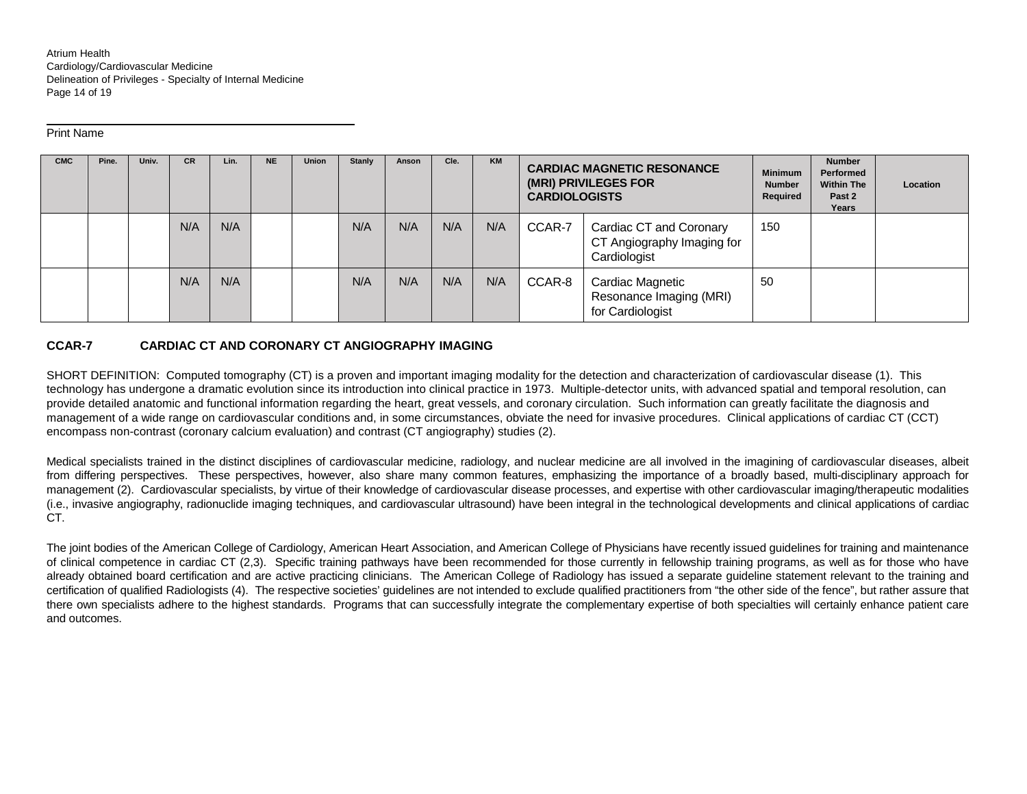Atrium Health Cardiology/Cardiovascular Medicine Delineation of Privileges - Specialty of Internal Medicine Page 14 of 19

#### Print Name

 $\overline{a}$ 

| <b>CMC</b> | Pine. | Univ. | CR. | Lin. | <b>NE</b> | <b>Union</b> | <b>Stanly</b> | Anson | Cle. | <b>KM</b> | <b>CARDIAC MAGNETIC RESONANCE</b><br>(MRI) PRIVILEGES FOR<br><b>CARDIOLOGISTS</b> |                                                                       | <b>Minimum</b><br><b>Number</b><br>Required | <b>Number</b><br>Performed<br><b>Within The</b><br>Past 2<br>Years | Location |
|------------|-------|-------|-----|------|-----------|--------------|---------------|-------|------|-----------|-----------------------------------------------------------------------------------|-----------------------------------------------------------------------|---------------------------------------------|--------------------------------------------------------------------|----------|
|            |       |       | N/A | N/A  |           |              | N/A           | N/A   | N/A  | N/A       | CCAR-7                                                                            | Cardiac CT and Coronary<br>CT Angiography Imaging for<br>Cardiologist | 150                                         |                                                                    |          |
|            |       |       | N/A | N/A  |           |              | N/A           | N/A   | N/A  | N/A       | CCAR-8                                                                            | Cardiac Magnetic<br>Resonance Imaging (MRI)<br>for Cardiologist       | 50                                          |                                                                    |          |

# **CCAR-7 CARDIAC CT AND CORONARY CT ANGIOGRAPHY IMAGING**

SHORT DEFINITION: Computed tomography (CT) is a proven and important imaging modality for the detection and characterization of cardiovascular disease (1). This technology has undergone a dramatic evolution since its introduction into clinical practice in 1973. Multiple-detector units, with advanced spatial and temporal resolution, can provide detailed anatomic and functional information regarding the heart, great vessels, and coronary circulation. Such information can greatly facilitate the diagnosis and management of a wide range on cardiovascular conditions and, in some circumstances, obviate the need for invasive procedures. Clinical applications of cardiac CT (CCT) encompass non-contrast (coronary calcium evaluation) and contrast (CT angiography) studies (2).

Medical specialists trained in the distinct disciplines of cardiovascular medicine, radiology, and nuclear medicine are all involved in the imagining of cardiovascular diseases, albeit from differing perspectives. These perspectives, however, also share many common features, emphasizing the importance of a broadly based, multi-disciplinary approach for management (2). Cardiovascular specialists, by virtue of their knowledge of cardiovascular disease processes, and expertise with other cardiovascular imaging/therapeutic modalities (i.e., invasive angiography, radionuclide imaging techniques, and cardiovascular ultrasound) have been integral in the technological developments and clinical applications of cardiac CT.

The joint bodies of the American College of Cardiology, American Heart Association, and American College of Physicians have recently issued guidelines for training and maintenance of clinical competence in cardiac CT (2,3). Specific training pathways have been recommended for those currently in fellowship training programs, as well as for those who have already obtained board certification and are active practicing clinicians. The American College of Radiology has issued a separate guideline statement relevant to the training and certification of qualified Radiologists (4). The respective societies' guidelines are not intended to exclude qualified practitioners from "the other side of the fence", but rather assure that there own specialists adhere to the highest standards. Programs that can successfully integrate the complementary expertise of both specialties will certainly enhance patient care and outcomes.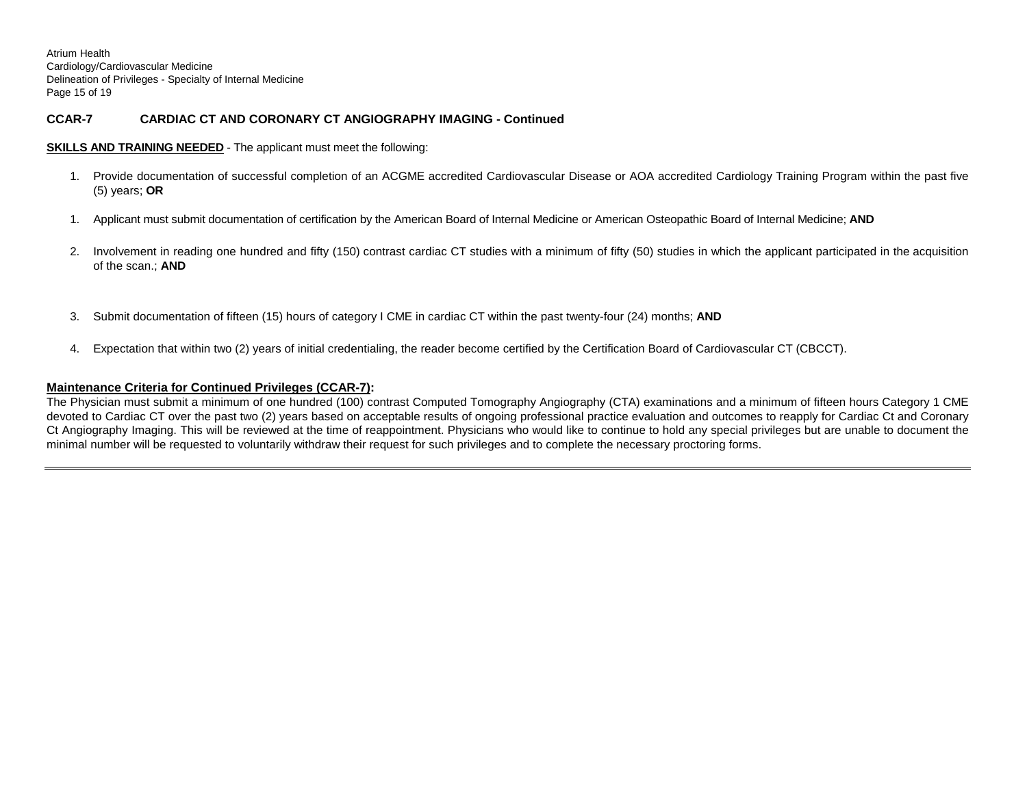Atrium Health Cardiology/Cardiovascular Medicine Delineation of Privileges - Specialty of Internal Medicine Page 15 of 19

# **CCAR-7 CARDIAC CT AND CORONARY CT ANGIOGRAPHY IMAGING - Continued**

#### **SKILLS AND TRAINING NEEDED** - The applicant must meet the following:

- 1. Provide documentation of successful completion of an ACGME accredited Cardiovascular Disease or AOA accredited Cardiology Training Program within the past five (5) years; **OR**
- 1. Applicant must submit documentation of certification by the American Board of Internal Medicine or American Osteopathic Board of Internal Medicine; **AND**
- 2. Involvement in reading one hundred and fifty (150) contrast cardiac CT studies with a minimum of fifty (50) studies in which the applicant participated in the acquisition of the scan.; **AND**
- 3. Submit documentation of fifteen (15) hours of category I CME in cardiac CT within the past twenty-four (24) months; **AND**
- 4. Expectation that within two (2) years of initial credentialing, the reader become certified by the Certification Board of Cardiovascular CT (CBCCT).

#### **Maintenance Criteria for Continued Privileges (CCAR-7):**

The Physician must submit a minimum of one hundred (100) contrast Computed Tomography Angiography (CTA) examinations and a minimum of fifteen hours Category 1 CME devoted to Cardiac CT over the past two (2) years based on acceptable results of ongoing professional practice evaluation and outcomes to reapply for Cardiac Ct and Coronary Ct Angiography Imaging. This will be reviewed at the time of reappointment. Physicians who would like to continue to hold any special privileges but are unable to document the minimal number will be requested to voluntarily withdraw their request for such privileges and to complete the necessary proctoring forms.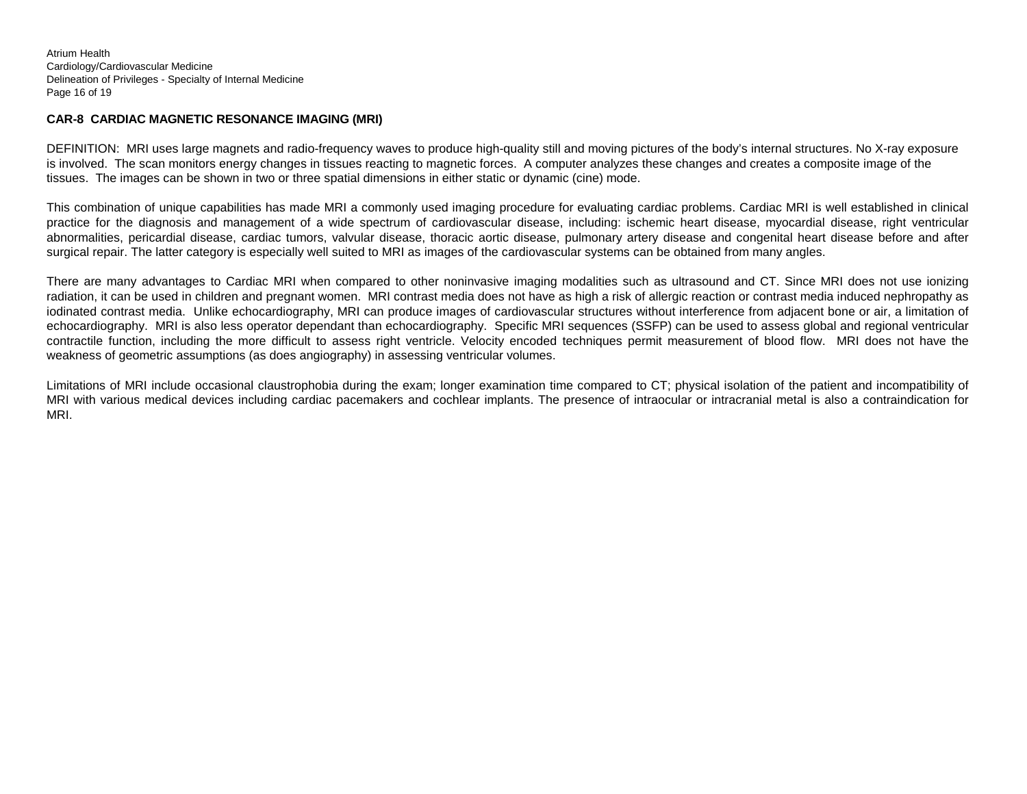Atrium Health Cardiology/Cardiovascular Medicine Delineation of Privileges - Specialty of Internal Medicine Page 16 of 19

## **CAR-8 CARDIAC MAGNETIC RESONANCE IMAGING (MRI)**

DEFINITION: MRI uses large magnets and radio-frequency waves to produce high-quality still and moving pictures of the body's internal structures. No X-ray exposure is involved. The scan monitors energy changes in tissues reacting to magnetic forces. A computer analyzes these changes and creates a composite image of the tissues. The images can be shown in two or three spatial dimensions in either static or dynamic (cine) mode.

This combination of unique capabilities has made MRI a commonly used imaging procedure for evaluating cardiac problems. Cardiac MRI is well established in clinical practice for the diagnosis and management of a wide spectrum of cardiovascular disease, including: ischemic heart disease, myocardial disease, right ventricular abnormalities, pericardial disease, cardiac tumors, valvular disease, thoracic aortic disease, pulmonary artery disease and congenital heart disease before and after surgical repair. The latter category is especially well suited to MRI as images of the cardiovascular systems can be obtained from many angles.

There are many advantages to Cardiac MRI when compared to other noninvasive imaging modalities such as ultrasound and CT. Since MRI does not use ionizing radiation, it can be used in children and pregnant women. MRI contrast media does not have as high a risk of allergic reaction or contrast media induced nephropathy as iodinated contrast media. Unlike echocardiography, MRI can produce images of cardiovascular structures without interference from adjacent bone or air, a limitation of echocardiography. MRI is also less operator dependant than echocardiography. Specific MRI sequences (SSFP) can be used to assess global and regional ventricular contractile function, including the more difficult to assess right ventricle. Velocity encoded techniques permit measurement of blood flow. MRI does not have the weakness of geometric assumptions (as does angiography) in assessing ventricular volumes.

Limitations of MRI include occasional claustrophobia during the exam; longer examination time compared to CT; physical isolation of the patient and incompatibility of MRI with various medical devices including cardiac pacemakers and cochlear implants. The presence of intraocular or intracranial metal is also a contraindication for MRI.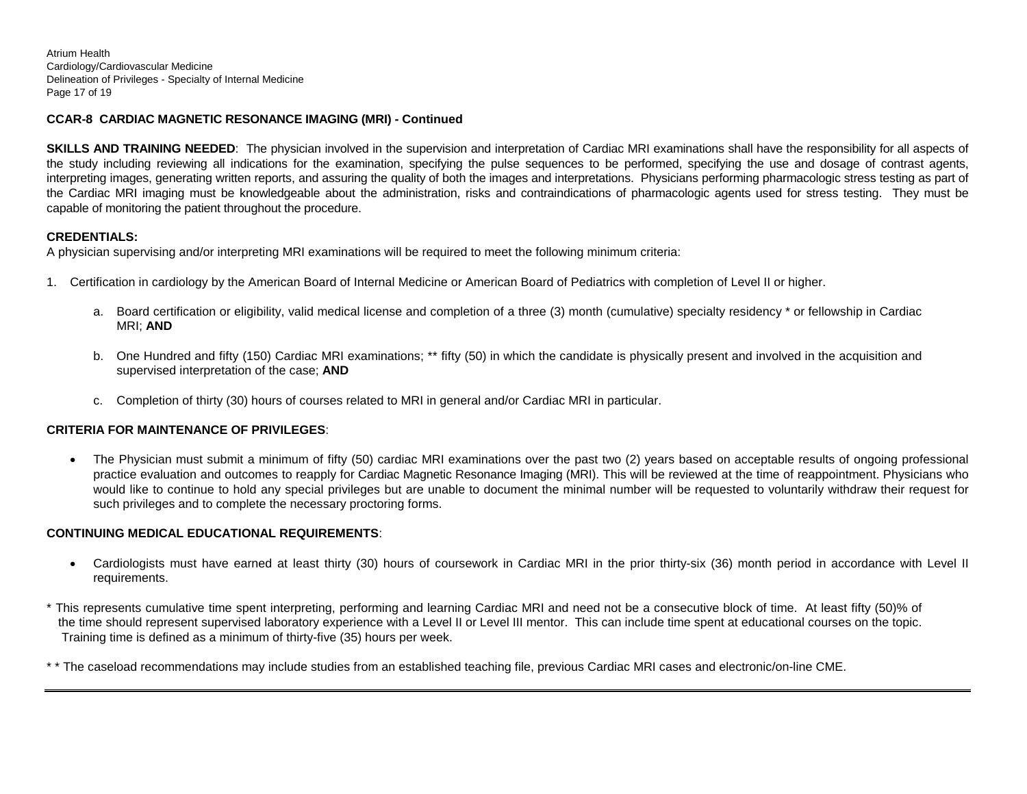Atrium Health Cardiology/Cardiovascular Medicine Delineation of Privileges - Specialty of Internal Medicine Page 17 of 19

# **CCAR-8 CARDIAC MAGNETIC RESONANCE IMAGING (MRI) - Continued**

**SKILLS AND TRAINING NEEDED**: The physician involved in the supervision and interpretation of Cardiac MRI examinations shall have the responsibility for all aspects of the study including reviewing all indications for the examination, specifying the pulse sequences to be performed, specifying the use and dosage of contrast agents, interpreting images, generating written reports, and assuring the quality of both the images and interpretations. Physicians performing pharmacologic stress testing as part of the Cardiac MRI imaging must be knowledgeable about the administration, risks and contraindications of pharmacologic agents used for stress testing. They must be capable of monitoring the patient throughout the procedure.

# **CREDENTIALS:**

A physician supervising and/or interpreting MRI examinations will be required to meet the following minimum criteria:

- 1. Certification in cardiology by the American Board of Internal Medicine or American Board of Pediatrics with completion of Level II or higher.
	- a. Board certification or eligibility, valid medical license and completion of a three (3) month (cumulative) specialty residency \* or fellowship in Cardiac MRI; **AND**
	- b. One Hundred and fifty (150) Cardiac MRI examinations; \*\* fifty (50) in which the candidate is physically present and involved in the acquisition and supervised interpretation of the case; **AND**
	- c. Completion of thirty (30) hours of courses related to MRI in general and/or Cardiac MRI in particular.

# **CRITERIA FOR MAINTENANCE OF PRIVILEGES**:

• The Physician must submit a minimum of fifty (50) cardiac MRI examinations over the past two (2) years based on acceptable results of ongoing professional practice evaluation and outcomes to reapply for Cardiac Magnetic Resonance Imaging (MRI). This will be reviewed at the time of reappointment. Physicians who would like to continue to hold any special privileges but are unable to document the minimal number will be requested to voluntarily withdraw their request for such privileges and to complete the necessary proctoring forms.

# **CONTINUING MEDICAL EDUCATIONAL REQUIREMENTS**:

• Cardiologists must have earned at least thirty (30) hours of coursework in Cardiac MRI in the prior thirty-six (36) month period in accordance with Level II requirements.

\* This represents cumulative time spent interpreting, performing and learning Cardiac MRI and need not be a consecutive block of time. At least fifty (50)% of the time should represent supervised laboratory experience with a Level II or Level III mentor. This can include time spent at educational courses on the topic. Training time is defined as a minimum of thirty-five (35) hours per week.

\* \* The caseload recommendations may include studies from an established teaching file, previous Cardiac MRI cases and electronic/on-line CME.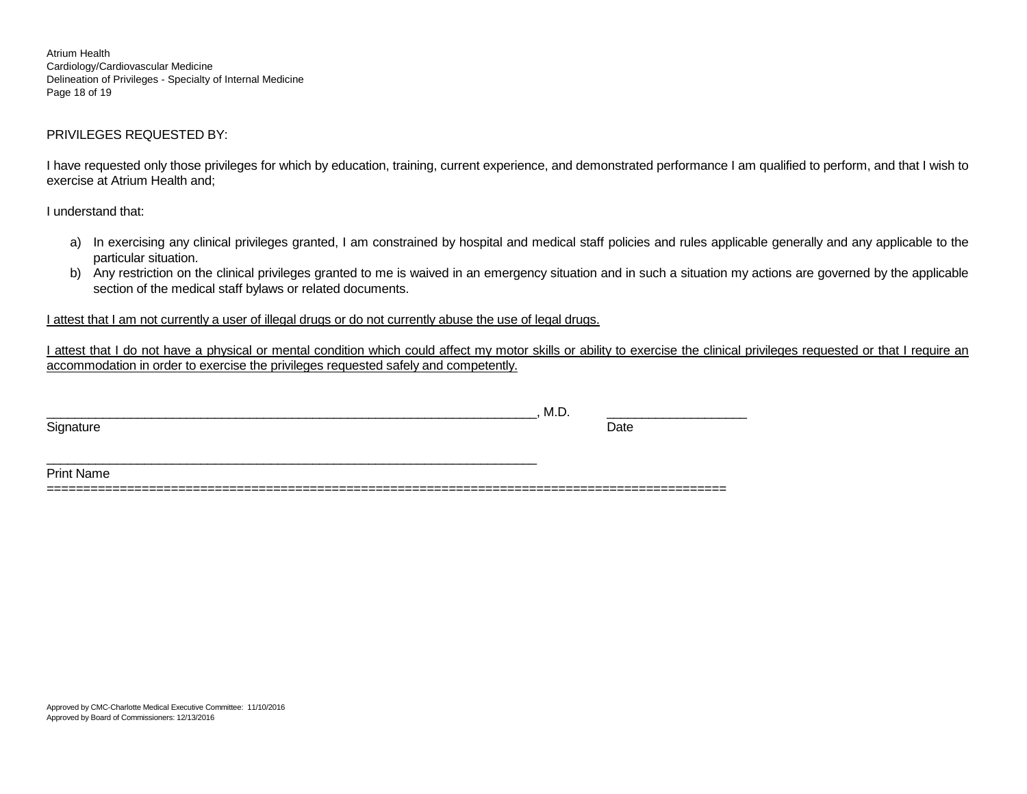Atrium Health Cardiology/Cardiovascular Medicine Delineation of Privileges - Specialty of Internal Medicine Page 18 of 19

# PRIVILEGES REQUESTED BY:

I have requested only those privileges for which by education, training, current experience, and demonstrated performance I am qualified to perform, and that I wish to exercise at Atrium Health and;

I understand that:

- a) In exercising any clinical privileges granted, I am constrained by hospital and medical staff policies and rules applicable generally and any applicable to the particular situation.
- b) Any restriction on the clinical privileges granted to me is waived in an emergency situation and in such a situation my actions are governed by the applicable section of the medical staff bylaws or related documents.

I attest that I am not currently a user of illegal drugs or do not currently abuse the use of legal drugs.

I attest that I do not have a physical or mental condition which could affect my motor skills or ability to exercise the clinical privileges requested or that I require an accommodation in order to exercise the privileges requested safely and competently.

|           | M.D. |      |
|-----------|------|------|
| Signature |      | Date |
|           |      |      |
|           |      |      |

Print Name

=============================================================================================